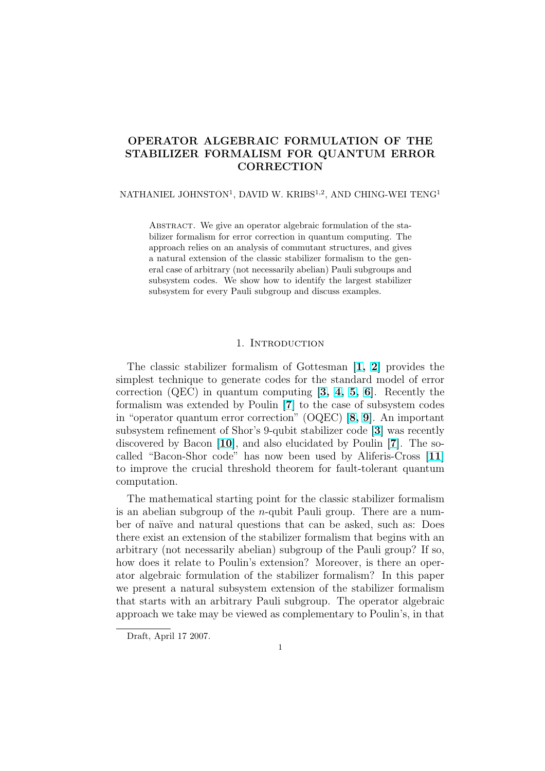# OPERATOR ALGEBRAIC FORMULATION OF THE STABILIZER FORMALISM FOR QUANTUM ERROR **CORRECTION**

NATHANIEL JOHNSTON<sup>1</sup>, DAVID W. KRIBS<sup>1,2</sup>, AND CHING-WEI TENG<sup>1</sup>

ABSTRACT. We give an operator algebraic formulation of the stabilizer formalism for error correction in quantum computing. The approach relies on an analysis of commutant structures, and gives a natural extension of the classic stabilizer formalism to the general case of arbitrary (not necessarily abelian) Pauli subgroups and subsystem codes. We show how to identify the largest stabilizer subsystem for every Pauli subgroup and discuss examples.

## 1. INTRODUCTION

The classic stabilizer formalism of Gottesman [1, 2] provides the simplest technique to generate codes for the standard model of error correction (QEC) in quantum computing [3, 4, 5, 6]. Recently the formalism was extended by Poulin [7] to the case [of](#page-12-0) subsystem codes in "operator quantum error correction" (OQEC) [8, 9][.](#page-12-0) An important subsystem refinement of Shor's 9-qubit stabilizer code [3] was recently discovered by Bacon [10], and also elucida[te](#page-12-0)d [b](#page-12-0)y [Poul](#page-12-0)in [7]. The socalled "Bacon-Shor code" has now [b](#page-12-0)een used by Aliferis-Cross [11] to improve the crucial threshold theorem for fa[ult](#page-12-0)-[toler](#page-12-0)ant quantum computation.

The mathematical starting point for the classic stabilizer forma[lism](#page-12-0) is an abelian subgroup of the *n*-qubit Pauli group. There are a number of naïve and natural questions that can be asked, such as: Does there exist an extension of the stabilizer formalism that begins with an arbitrary (not necessarily abelian) subgroup of the Pauli group? If so, how does it relate to Poulin's extension? Moreover, is there an operator algebraic formulation of the stabilizer formalism? In this paper we present a natural subsystem extension of the stabilizer formalism that starts with an arbitrary Pauli subgroup. The operator algebraic approach we take may be viewed as complementary to Poulin's, in that

Draft, April 17 2007.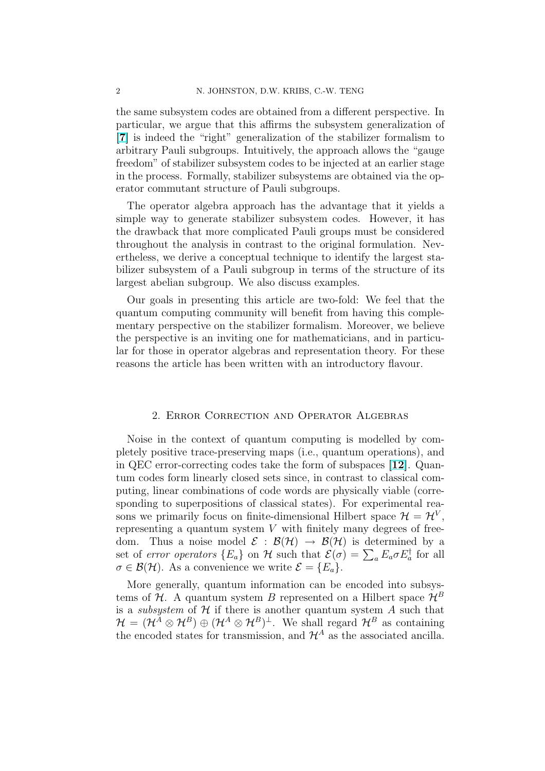the same subsystem codes are obtained from a different perspective. In particular, we argue that this affirms the subsystem generalization of [7] is indeed the "right" generalization of the stabilizer formalism to arbitrary Pauli subgroups. Intuitively, the approach allows the "gauge freedom" of stabilizer subsystem codes to be injected at an earlier stage in the process. Formally, stabilizer subsystems are obtained via the op[era](#page-12-0)tor commutant structure of Pauli subgroups.

The operator algebra approach has the advantage that it yields a simple way to generate stabilizer subsystem codes. However, it has the drawback that more complicated Pauli groups must be considered throughout the analysis in contrast to the original formulation. Nevertheless, we derive a conceptual technique to identify the largest stabilizer subsystem of a Pauli subgroup in terms of the structure of its largest abelian subgroup. We also discuss examples.

Our goals in presenting this article are two-fold: We feel that the quantum computing community will benefit from having this complementary perspective on the stabilizer formalism. Moreover, we believe the perspective is an inviting one for mathematicians, and in particular for those in operator algebras and representation theory. For these reasons the article has been written with an introductory flavour.

### 2. Error Correction and Operator Algebras

Noise in the context of quantum computing is modelled by completely positive trace-preserving maps (i.e., quantum operations), and in QEC error-correcting codes take the form of subspaces [12]. Quantum codes form linearly closed sets since, in contrast to classical computing, linear combinations of code words are physically viable (corresponding to superpositions of classical states). For experi[men](#page-12-0)tal reasons we primarily focus on finite-dimensional Hilbert space  $\mathcal{H} = \mathcal{H}^V$ , representing a quantum system  $V$  with finitely many degrees of freedom. Thus a noise model  $\mathcal{E} : \mathcal{B}(\mathcal{H}) \to \mathcal{B}(\mathcal{H})$  is determined by a set of *error operators*  ${E_a}$  on H such that  ${\mathcal{E}}(\sigma) = \sum_a E_a \sigma E_a^{\dagger}$  for all  $\sigma \in \mathcal{B}(\mathcal{H})$ . As a convenience we write  $\mathcal{E} = \{E_a\}.$ 

More generally, quantum information can be encoded into subsystems of H. A quantum system B represented on a Hilbert space  $\mathcal{H}^B$ is a *subsystem* of  $H$  if there is another quantum system  $A$  such that  $\mathcal{H} = (\mathcal{H}^A \otimes \mathcal{H}^B) \oplus (\mathcal{H}^A \otimes \mathcal{H}^B)^{\perp}$ . We shall regard  $\mathcal{H}^B$  as containing the encoded states for transmission, and  $\mathcal{H}^A$  as the associated ancilla.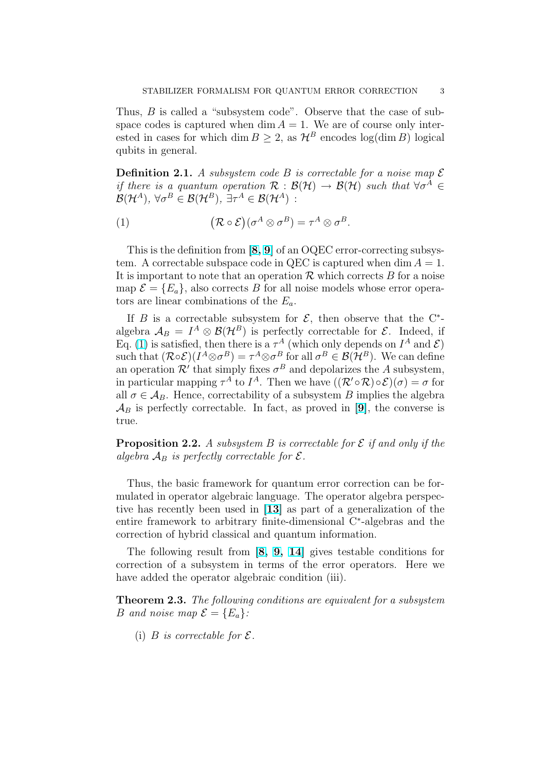<span id="page-2-0"></span>Thus, *B* is called a "subsystem code". Observe that the case of subspace codes is captured when dim  $A = 1$ . We are of course only interested in cases for which dim  $B \geq 2$ , as  $\mathcal{H}^B$  encodes log(dim B) logical qubits in general.

**Definition 2.1.** A subsystem code B is correctable for a noise map  $\mathcal{E}$ if there is a quantum operation  $\mathcal{R}: \mathcal{B}(\mathcal{H}) \to \mathcal{B}(\mathcal{H})$  such that  $\forall \sigma^A \in$  $\mathcal{B}(\mathcal{H}^A), \ \forall \sigma^B \in \mathcal{B}(\mathcal{H}^B), \ \exists \tau^A \in \mathcal{B}(\mathcal{H}^A)$ :

(1) 
$$
(\mathcal{R} \circ \mathcal{E})(\sigma^A \otimes \sigma^B) = \tau^A \otimes \sigma^B.
$$

This is the definition from  $[8, 9]$  of an OQEC error-correcting subsystem. A correctable subspace code in QEC is captured when dim  $A = 1$ . It is important to note that an operation  $\mathcal R$  which corrects  $B$  for a noise map  $\mathcal{E} = \{E_a\}$ , also corrects B for all noise models whose error operators are linear combinations [of th](#page-12-0)e  $E_a$ .

If B is a correctable subsystem for  $\mathcal{E}$ , then observe that the C<sup>\*</sup>algebra  $\mathcal{A}_B = I^A \otimes \mathcal{B}(\mathcal{H}^B)$  is perfectly correctable for  $\mathcal{E}$ . Indeed, if Eq. (1) is satisfied, then there is a  $\tau^A$  (which only depends on  $I^A$  and  $\mathcal{E}$ ) such that  $(\mathcal{R} \circ \mathcal{E})(I^A \otimes \sigma^B) = \tau^A \otimes \sigma^B$  for all  $\sigma^B \in \mathcal{B}(\mathcal{H}^B)$ . We can define an operation  $\mathcal{R}'$  that simply fixes  $\sigma^B$  and depolarizes the A subsystem, in particular mapping  $\tau^A$  to  $I^A$ . Then we have  $((\mathcal{R}' \circ \mathcal{R}) \circ \mathcal{E})(\sigma) = \sigma$  for all  $\sigma \in A_B$ . Hence, correctability of a subsystem B implies the algebra  $\mathcal{A}_B$  is perfectly correctable. In fact, as proved in [9], the converse is true.

**Proposition 2.2.** A subsystem B is correctable for  $\mathcal{E}$  if and only if the algebra  $\mathcal{A}_B$  is perfectly correctable for  $\mathcal{E}.$ 

Thus, the basic framework for quantum error correction can be formulated in operator algebraic language. The operator algebra perspective has recently been used in [13] as part of a generalization of the entire framework to arbitrary finite-dimensional C<sup>∗</sup> -algebras and the correction of hybrid classical and quantum information.

The following result from [8, [9,](#page-12-0) 14] gives testable conditions for correction of a subsystem in terms of the error operators. Here we have added the operator algebraic condition (iii).

**Theorem 2.3.** The following [co](#page-12-0)n[dit](#page-12-0)i[ons](#page-12-0) are equivalent for a subsystem B and noise map  $\mathcal{E} = \{E_a\}$ :

(i) B is correctable for  $\mathcal{E}.$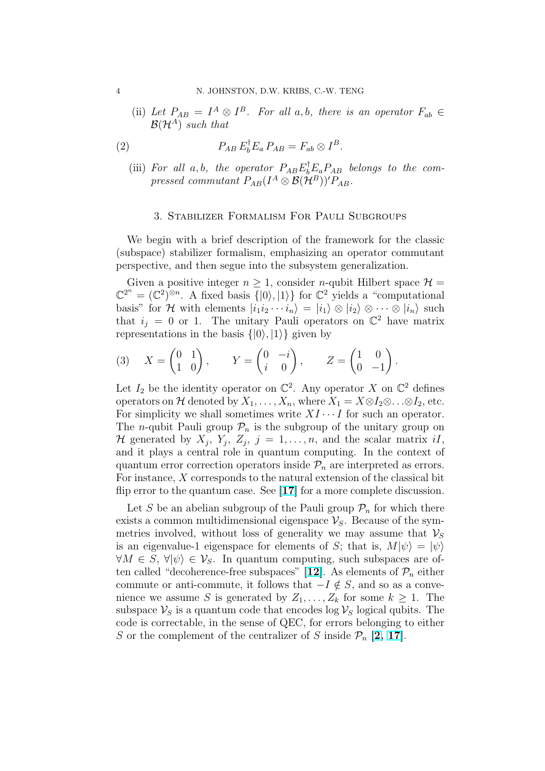(ii) Let  $P_{AB} = I^A \otimes I^B$ . For all a, b, there is an operator  $F_{ab} \in$  $\mathcal{B}(\mathcal{H}^A)$  such that

(2) 
$$
P_{AB} E_b^{\dagger} E_a P_{AB} = F_{ab} \otimes I^B.
$$

(iii) For all a,b, the operator  $P_{AB}E_{b}^{\dagger}E_{a}P_{AB}$  belongs to the compressed commutant  $P_{AB}(I^A\otimes\mathcal{B}(\mathcal{H}^B))'P_{AB}$ .

#### 3. Stabilizer Formalism For Pauli Subgroups

We begin with a brief description of the framework for the classic (subspace) stabilizer formalism, emphasizing an operator commutant perspective, and then segue into the subsystem generalization.

Given a positive integer  $n \geq 1$ , consider *n*-qubit Hilbert space  $\mathcal{H} =$  $\mathbb{C}^{2^n} = (\mathbb{C}^2)^{\otimes n}$ . A fixed basis  $\{|0\rangle, |1\rangle\}$  for  $\mathbb{C}^2$  yields a "computational" basis" for H with elements  $|i_1i_2\cdots i_n\rangle = |i_1\rangle \otimes |i_2\rangle \otimes \cdots \otimes |i_n\rangle$  such that  $i_j = 0$  or 1. The unitary Pauli operators on  $\mathbb{C}^2$  have matrix representations in the basis  $\{|0\rangle, |1\rangle\}$  given by

(3) 
$$
X = \begin{pmatrix} 0 & 1 \\ 1 & 0 \end{pmatrix}, \qquad Y = \begin{pmatrix} 0 & -i \\ i & 0 \end{pmatrix}, \qquad Z = \begin{pmatrix} 1 & 0 \\ 0 & -1 \end{pmatrix}.
$$

Let  $I_2$  be the identity operator on  $\mathbb{C}^2$ . Any operator X on  $\mathbb{C}^2$  defines operators on H denoted by  $X_1, \ldots, X_n$ , where  $X_1 = X \otimes I_2 \otimes \ldots \otimes I_2$ , etc. For simplicity we shall sometimes write  $XI \cdots I$  for such an operator. The *n*-qubit Pauli group  $\mathcal{P}_n$  is the subgroup of the unitary group on H generated by  $X_j$ ,  $Y_j$ ,  $Z_j$ ,  $j = 1, ..., n$ , and the scalar matrix iI, and it plays a central role in quantum computing. In the context of quantum error correction operators inside  $\mathcal{P}_n$  are interpreted as errors. For instance,  $X$  corresponds to the natural extension of the classical bit flip error to the quantum case. See [17] for a more complete discussion.

Let S be an abelian subgroup of the Pauli group  $\mathcal{P}_n$  for which there exists a common multidimensional eigenspace  $\mathcal{V}_S$ . Because of the symmetries involved, without loss of [gene](#page-13-0)rality we may assume that  $\mathcal{V}_S$ is an eigenvalue-1 eigenspace for elements of S; that is,  $M|\psi\rangle = |\psi\rangle$  $\forall M \in S, \forall |\psi\rangle \in \mathcal{V}_S$ . In quantum computing, such subspaces are often called "decoherence-free subspaces" [12]. As elements of  $\mathcal{P}_n$  either commute or anti-commute, it follows that  $-I \notin S$ , and so as a convenience we assume S is generated by  $Z_1, \ldots, Z_k$  for some  $k \geq 1$ . The subspace  $\mathcal{V}_S$  is a quantum code that encodes log  $\mathcal{V}_S$  logical qubits. The code is correctable, in the sense of QEC, [for](#page-12-0) errors belonging to either S or the complement of the centralizer of S inside  $\mathcal{P}_n$  [2, 17].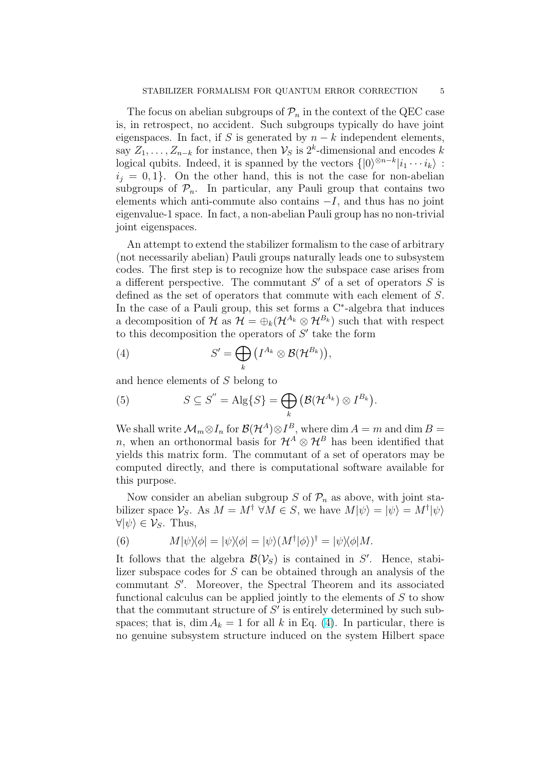<span id="page-4-0"></span>The focus on abelian subgroups of  $\mathcal{P}_n$  in the context of the QEC case is, in retrospect, no accident. Such subgroups typically do have joint eigenspaces. In fact, if S is generated by  $n - k$  independent elements, say  $Z_1, \ldots, Z_{n-k}$  for instance, then  $\mathcal{V}_S$  is 2<sup>k</sup>-dimensional and encodes k logical qubits. Indeed, it is spanned by the vectors  $\{|0\rangle^{\otimes n-k}|i_1 \cdots i_k\rangle$ :  $i_j = 0, 1$ . On the other hand, this is not the case for non-abelian subgroups of  $\mathcal{P}_n$ . In particular, any Pauli group that contains two elements which anti-commute also contains  $-I$ , and thus has no joint eigenvalue-1 space. In fact, a non-abelian Pauli group has no non-trivial joint eigenspaces.

An attempt to extend the stabilizer formalism to the case of arbitrary (not necessarily abelian) Pauli groups naturally leads one to subsystem codes. The first step is to recognize how the subspace case arises from a different perspective. The commutant  $S'$  of a set of operators  $S$  is defined as the set of operators that commute with each element of S. In the case of a Pauli group, this set forms a  $C<sup>*</sup>$ -algebra that induces a decomposition of H as  $\mathcal{H} = \bigoplus_k (\mathcal{H}^{A_k} \otimes \mathcal{H}^{B_k})$  such that with respect to this decomposition the operators of  $S'$  take the form

(4) 
$$
S' = \bigoplus_{k} \left( I^{A_k} \otimes \mathcal{B}(\mathcal{H}^{B_k}) \right),
$$

and hence elements of S belong to

(5) 
$$
S \subseteq S'' = \mathrm{Alg}\{S\} = \bigoplus_{k} \left(\mathcal{B}(\mathcal{H}^{A_k}) \otimes I^{B_k}\right).
$$

We shall write  $\mathcal{M}_m \otimes I_n$  for  $\mathcal{B}(\mathcal{H}^A) \otimes I^B$ , where dim  $A = m$  and dim  $B =$ n, when an orthonormal basis for  $\mathcal{H}^A \otimes \mathcal{H}^B$  has been identified that yields this matrix form. The commutant of a set of operators may be computed directly, and there is computational software available for this purpose.

Now consider an abelian subgroup S of  $\mathcal{P}_n$  as above, with joint stabilizer space  $\mathcal{V}_S$ . As  $M = M^{\dagger} \ \forall M \in S$ , we have  $M|\psi\rangle = |\psi\rangle = M^{\dagger}|\psi\rangle$  $\forall |\psi\rangle \in \mathcal{V}_S$ . Thus,

(6) 
$$
M|\psi\rangle\langle\phi| = |\psi\rangle\langle\phi| = |\psi\rangle(M^{\dagger}|\phi\rangle)^{\dagger} = |\psi\rangle\langle\phi|M.
$$

It follows that the algebra  $\mathcal{B}(\mathcal{V}_S)$  is contained in S'. Hence, stabilizer subspace codes for S can be obtained through an analysis of the  $commutant S'$ . Moreover, the Spectral Theorem and its associated functional calculus can be applied jointly to the elements of  $S$  to show that the commutant structure of  $S'$  is entirely determined by such subspaces; that is, dim  $A_k = 1$  for all k in Eq. (4). In particular, there is no genuine subsystem structure induced on the system Hilbert space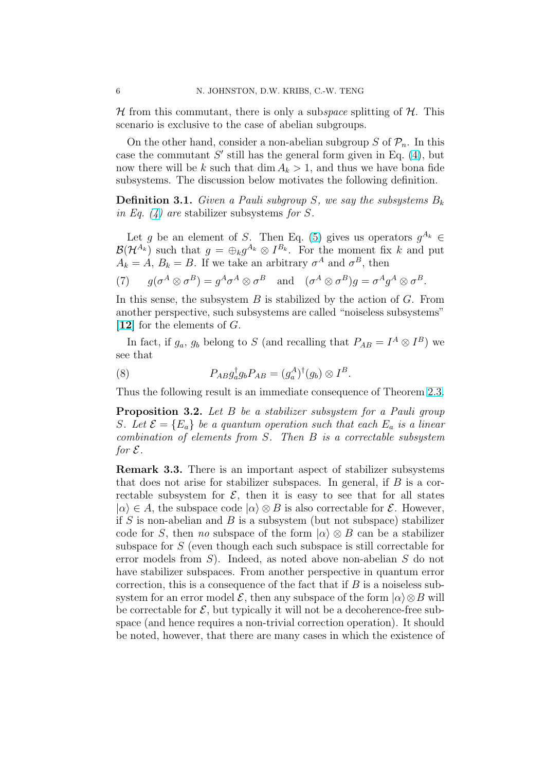$\mathcal H$  from this commutant, there is only a subspace splitting of  $\mathcal H$ . This scenario is exclusive to the case of abelian subgroups.

On the other hand, consider a non-abelian subgroup S of  $\mathcal{P}_n$ . In this case the commutant  $S'$  still has the general form given in Eq. (4), but now there will be k such that dim  $A_k > 1$ , and thus we have bona fide subsystems. The discussion below motivates the following definition.

**Definition 3.1.** Given a Pauli subgroup S, we say the subsyst[em](#page-4-0)s  $B_k$ in Eq.  $(4)$  are stabilizer subsystems for S.

Let g be an element of S. Then Eq. (5) gives us operators  $g^{A_k} \in$  $\mathcal{B}(\mathcal{H}^{A_k})$  such that  $g = \bigoplus_k g^{A_k} \otimes I^{B_k}$ . For the moment fix k and put  $A_k = A, B_k = B.$  $A_k = A, B_k = B.$  $A_k = A, B_k = B.$  If we take an arbitrary  $\sigma^A$  and  $\sigma^B$ , then

(7)  $g(\sigma^A \otimes \sigma^B) = g^A \sigma^A \otimes \sigma^B$  and  $(\sigma^A \otimes \sigma^B)g = \sigma^A g^A \otimes \sigma^B$ .

In this sense, the subsystem  $B$  is stabilized by the action of  $G$ . From another perspective, such subsystems are called "noiseless subsystems"  $[12]$  for the elements of G.

In fact, if  $g_a$ ,  $g_b$  belong to S (and recalling that  $P_{AB} = I^A \otimes I^B$ ) we see that

(8) 
$$
P_{AB}g_a^{\dagger}g_bP_{AB}=(g_a^A)^{\dagger}(g_b)\otimes I^B.
$$

Thus the following result is an immediate consequence of Theorem 2.3.

**Proposition 3.2.** Let B be a stabilizer subsystem for a Pauli group S. Let  $\mathcal{E} = \{E_a\}$  be a quantum operation such that each  $E_a$  is a linear combination of elements from S. Then B is a correctable subsy[stem](#page-2-0) for  $\mathcal E$ .

Remark 3.3. There is an important aspect of stabilizer subsystems that does not arise for stabilizer subspaces. In general, if  $B$  is a correctable subsystem for  $\mathcal{E}$ , then it is easy to see that for all states  $|\alpha\rangle \in A$ , the subspace code  $|\alpha\rangle \otimes B$  is also correctable for  $\mathcal{E}$ . However, if S is non-abelian and B is a subsystem (but not subspace) stabilizer code for S, then no subspace of the form  $|\alpha\rangle \otimes B$  can be a stabilizer subspace for S (even though each such subspace is still correctable for error models from S). Indeed, as noted above non-abelian S do not have stabilizer subspaces. From another perspective in quantum error correction, this is a consequence of the fact that if  $B$  is a noiseless subsystem for an error model  $\mathcal E$ , then any subspace of the form  $\vert \alpha \rangle \otimes B$  will be correctable for  $\mathcal{E}$ , but typically it will not be a decoherence-free subspace (and hence requires a non-trivial correction operation). It should be noted, however, that there are many cases in which the existence of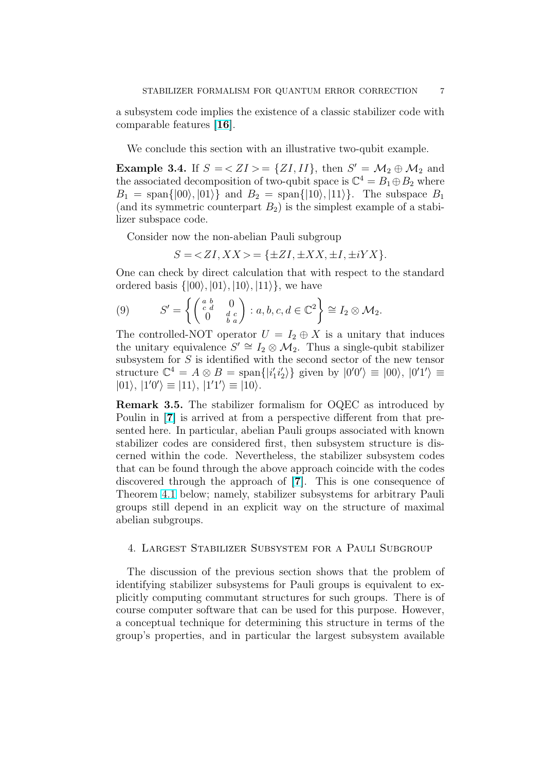<span id="page-6-0"></span>a subsystem code implies the existence of a classic stabilizer code with comparable features [16].

We conclude this section with an illustrative two-qubit example.

**Example 3.4.** If  $S = \langle ZI, II \rangle$  $S = \langle ZI, II \rangle$  $S = \langle ZI, II \rangle$ , then  $S' = \mathcal{M}_2 \oplus \mathcal{M}_2$  and the associated decomposition of two-qubit space is  $\mathbb{C}^4 = B_1 \oplus B_2$  where  $B_1 = \text{span}\{|00\rangle, |01\rangle\}$  and  $B_2 = \text{span}\{|10\rangle, |11\rangle\}$ . The subspace  $B_1$ (and its symmetric counterpart  $B_2$ ) is the simplest example of a stabilizer subspace code.

Consider now the non-abelian Pauli subgroup

 $S = \langle ZI, XX \rangle = \{\pm ZI, \pm XX, \pm I, \pm iYX\}.$ 

One can check by direct calculation that with respect to the standard ordered basis  $\{|00\rangle, |01\rangle, |10\rangle, |11\rangle\}$ , we have  $\mathbf{A}^{\dagger}$ 

(9) 
$$
S' = \left\{ \begin{pmatrix} a & b & 0 \\ c & d & 0 \\ 0 & b & a \end{pmatrix} : a, b, c, d \in \mathbb{C}^2 \right\} \cong I_2 \otimes \mathcal{M}_2.
$$

The controlled-NOT operator  $U = I_2 \oplus X$  is a unitary that induces the unitary equivalence  $S' \cong I_2 \otimes \mathcal{M}_2$ . Thus a single-qubit stabilizer subsystem for  $S$  is identified with the second sector of the new tensor structure  $\mathbb{C}^4 = A \otimes B = \text{span}\{|i'_1 i'_2\rangle\}$  given by  $|0'0'\rangle \equiv |00\rangle, |0'1'\rangle \equiv$  $|01\rangle, |1'0'\rangle \equiv |11\rangle, |1'1'\rangle \equiv |10\rangle.$ 

Remark 3.5. The stabilizer formalism for OQEC as introduced by Poulin in [7] is arrived at from a perspective different from that presented here. In particular, abelian Pauli groups associated with known stabilizer codes are considered first, then subsystem structure is discerned within the code. Nevertheless, the stabilizer subsystem codes that can b[e f](#page-12-0)ound through the above approach coincide with the codes discovered through the approach of [7]. This is one consequence of Theorem 4.1 below; namely, stabilizer subsystems for arbitrary Pauli groups still depend in an explicit way on the structure of maximal abelian subgroups.

#### 4. La[rges](#page-7-0)t Stabilizer Subsystem for a Pauli Subgroup

The discussion of the previous section shows that the problem of identifying stabilizer subsystems for Pauli groups is equivalent to explicitly computing commutant structures for such groups. There is of course computer software that can be used for this purpose. However, a conceptual technique for determining this structure in terms of the group's properties, and in particular the largest subsystem available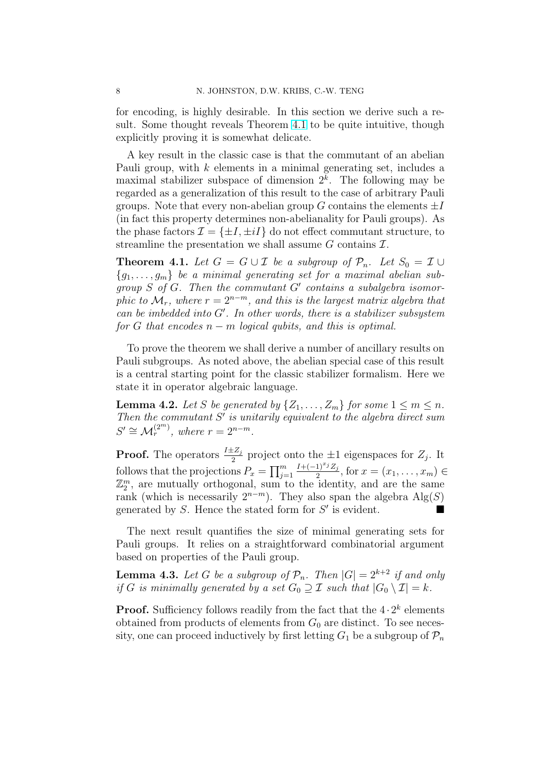<span id="page-7-0"></span>for encoding, is highly desirable. In this section we derive such a result. Some thought reveals Theorem 4.1 to be quite intuitive, though explicitly proving it is somewhat delicate.

A key result in the classic case is that the commutant of an abelian Pauli group, with k elements in a minimal generating set, includes a maximal stabilizer subspace of dimension  $2<sup>k</sup>$ . The following may be regarded as a generalization of this result to the case of arbitrary Pauli groups. Note that every non-abelian group G contains the elements  $\pm I$ (in fact this property determines non-abelianality for Pauli groups). As the phase factors  $\mathcal{I} = \{\pm I, \pm iI\}$  do not effect commutant structure, to streamline the presentation we shall assume  $G$  contains  $\mathcal{I}$ .

**Theorem 4.1.** Let  $G = G \cup \mathcal{I}$  be a subgroup of  $\mathcal{P}_n$ . Let  $S_0 = \mathcal{I} \cup$  ${g_1, \ldots, g_m}$  be a minimal generating set for a maximal abelian subgroup  $S$  of  $G$ . Then the commutant  $G'$  contains a subalgebra isomorphic to  $\mathcal{M}_r$ , where  $r = 2^{n-m}$ , and this is the largest matrix algebra that  $can be imbedded into G'.$  In other words, there is a stabilizer subsystem for G that encodes  $n - m$  logical qubits, and this is optimal.

To prove the theorem we shall derive a number of ancillary results on Pauli subgroups. As noted above, the abelian special case of this result is a central starting point for the classic stabilizer formalism. Here we state it in operator algebraic language.

**Lemma 4.2.** Let S be generated by  $\{Z_1, \ldots, Z_m\}$  for some  $1 \leq m \leq n$ . Then the commutant  $S'$  is unitarily equivalent to the algebra direct sum  $S' \cong \mathcal{M}_r^{(2^m)}$ , where  $r = 2^{n-m}$ .

**Proof.** The operators  $\frac{I \pm Z_j}{2}$  project onto the  $\pm 1$  eigenspaces for  $Z_j$ . It follows that the projections  $P_x = \prod_{i=1}^m$  $j=1$  $I+(-1)^{x_j}Z_j$  $\frac{1)^{-j}Z_j}{2}$ , for  $x = (x_1, \ldots, x_m) \in$  $\mathbb{Z}_2^m$ , are mutually orthogonal, sum to the identity, and are the same rank (which is necessarily  $2^{n-m}$ ). They also span the algebra  $\text{Alg}(S)$ generated by S. Hence the stated form for  $S'$  is evident.

The next result quantifies the size of minimal generating sets for Pauli groups. It relies on a straightforward combinatorial argument based on properties of the Pauli group.

**Lemma 4.3.** Let G be a subgroup of  $\mathcal{P}_n$ . Then  $|G| = 2^{k+2}$  if and only if G is minimally generated by a set  $G_0 \supseteq \mathcal{I}$  such that  $|G_0 \setminus \mathcal{I}| = k$ .

**Proof.** Sufficiency follows readily from the fact that the  $4 \cdot 2^k$  elements obtained from products of elements from  $G_0$  are distinct. To see necessity, one can proceed inductively by first letting  $G_1$  be a subgroup of  $\mathcal{P}_n$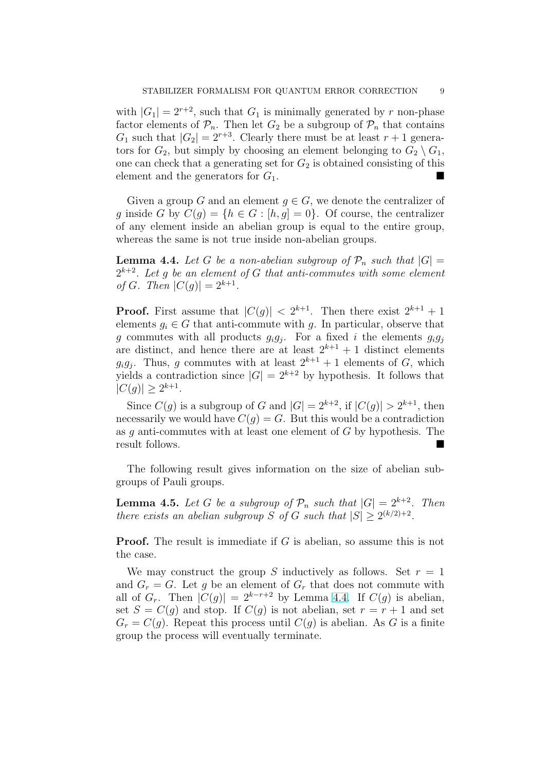<span id="page-8-0"></span>with  $|G_1| = 2^{r+2}$ , such that  $G_1$  is minimally generated by r non-phase factor elements of  $\mathcal{P}_n$ . Then let  $G_2$  be a subgroup of  $\mathcal{P}_n$  that contains  $G_1$  such that  $|G_2| = 2^{r+3}$ . Clearly there must be at least  $r+1$  generators for  $G_2$ , but simply by choosing an element belonging to  $G_2 \setminus G_1$ , one can check that a generating set for  $G_2$  is obtained consisting of this element and the generators for  $G_1$ .

Given a group G and an element  $g \in G$ , we denote the centralizer of g inside G by  $C(g) = \{h \in G : [h, g] = 0\}$ . Of course, the centralizer of any element inside an abelian group is equal to the entire group, whereas the same is not true inside non-abelian groups.

**Lemma 4.4.** Let G be a non-abelian subgroup of  $\mathcal{P}_n$  such that  $|G| =$  $2^{k+2}$ . Let g be an element of G that anti-commutes with some element of G. Then  $|C(g)| = 2^{k+1}$ .

**Proof.** First assume that  $|C(g)| < 2^{k+1}$ . Then there exist  $2^{k+1} + 1$ elements  $g_i \in G$  that anti-commute with g. In particular, observe that g commutes with all products  $g_i g_j$ . For a fixed i the elements  $g_i g_j$ are distinct, and hence there are at least  $2^{k+1} + 1$  distinct elements  $g_i g_j$ . Thus, g commutes with at least  $2^{k+1} + 1$  elements of G, which yields a contradiction since  $|G| = 2^{k+2}$  by hypothesis. It follows that  $|C(g)| \geq 2^{k+1}$ .

Since  $C(g)$  is a subgroup of G and  $|G| = 2^{k+2}$ , if  $|C(g)| > 2^{k+1}$ , then necessarily we would have  $C(g) = G$ . But this would be a contradiction as q anti-commutes with at least one element of  $G$  by hypothesis. The result follows.

The following result gives information on the size of abelian subgroups of Pauli groups.

**Lemma 4.5.** Let G be a subgroup of  $\mathcal{P}_n$  such that  $|G| = 2^{k+2}$ . Then there exists an abelian subgroup S of G such that  $|S| \geq 2^{(k/2)+2}$ .

**Proof.** The result is immediate if G is abelian, so assume this is not the case.

We may construct the group S inductively as follows. Set  $r = 1$ and  $G_r = G$ . Let g be an element of  $G_r$  that does not commute with all of  $G_r$ . Then  $|C(q)| = 2^{k-r+2}$  by Lemma 4.4. If  $C(q)$  is abelian, set  $S = C(g)$  and stop. If  $C(g)$  is not abelian, set  $r = r + 1$  and set  $G_r = C(g)$ . Repeat this process until  $C(g)$  is abelian. As G is a finite group the process will eventually terminate.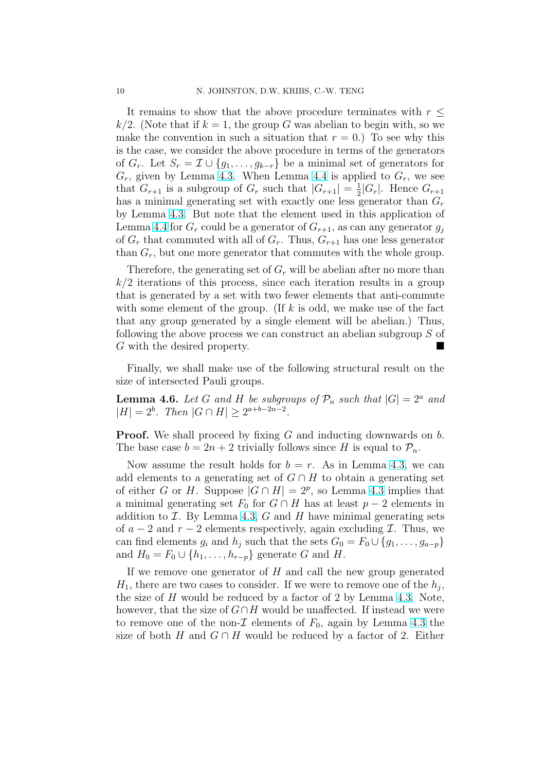<span id="page-9-0"></span>It remains to show that the above procedure terminates with  $r \leq$  $k/2$ . (Note that if  $k = 1$ , the group G was abelian to begin with, so we make the convention in such a situation that  $r = 0$ .) To see why this is the case, we consider the above procedure in terms of the generators of  $G_r$ . Let  $S_r = \mathcal{I} \cup \{g_1, \ldots, g_{k-r}\}\$ be a minimal set of generators for  $G_r$ , given by Lemma 4.3. When Lemma 4.4 is applied to  $G_r$ , we see that  $G_{r+1}$  is a subgroup of  $G_r$  such that  $|G_{r+1}| = \frac{1}{2}$  $\frac{1}{2}|G_r|$ . Hence  $G_{r+1}$ has a minimal generating set with exactly one less generator than  $G_r$ by Lemma 4.3. But note that the eleme[nt us](#page-8-0)ed in this application of Lemma 4.4 for  $G_r$  cou[ld b](#page-7-0)e a generator of  $G_{r+1}$ , as can any generator  $g_i$ of  $G_r$  that commuted with all of  $G_r$ . Thus,  $G_{r+1}$  has one less generator than  $G_r$ , b[ut on](#page-7-0)e more generator that commutes with the whole group.

Ther[efore](#page-8-0), the generating set of  $G_r$  will be abelian after no more than  $k/2$  iterations of this process, since each iteration results in a group that is generated by a set with two fewer elements that anti-commute with some element of the group. (If  $k$  is odd, we make use of the fact that any group generated by a single element will be abelian.) Thus, following the above process we can construct an abelian subgroup S of  $G$  with the desired property.

Finally, we shall make use of the following structural result on the size of intersected Pauli groups.

**Lemma 4.6.** Let G and H be subgroups of  $\mathcal{P}_n$  such that  $|G| = 2^a$  and  $|H| = 2^b$ . Then  $|G \cap H| \geq 2^{a+b-2n-2}$ .

**Proof.** We shall proceed by fixing G and inducting downwards on b. The base case  $b = 2n + 2$  trivially follows since H is equal to  $\mathcal{P}_n$ .

Now assume the result holds for  $b = r$ . As in Lemma 4.3, we can add elements to a generating set of  $G \cap H$  to obtain a generating set of either G or H. Suppose  $|G \cap H| = 2^p$ , so Lemma 4.3 implies that a minimal generating set  $F_0$  for  $G \cap H$  has at least  $p-2$  elements in addition to  $\mathcal I$ . By Lemma 4.3,  $G$  and  $H$  have minimal ge[nerat](#page-7-0)ing sets of  $a - 2$  and  $r - 2$  elements respectively, again excluding  $\mathcal{I}$ . Thus, we can find elements  $g_i$  and  $h_j$  such that the sets  $G_0 = F_0 \cup \{g_1, \ldots, g_{a-p}\}\$ and  $H_0 = F_0 \cup \{h_1, \ldots, h_{r-p}\}\$  $H_0 = F_0 \cup \{h_1, \ldots, h_{r-p}\}\$  $H_0 = F_0 \cup \{h_1, \ldots, h_{r-p}\}\$  generate G and H.

If we remove one generator of  $H$  and call the new group generated  $H_1$ , there are two cases to consider. If we were to remove one of the  $h_j$ , the size of H would be reduced by a factor of 2 by Lemma 4.3. Note, however, that the size of  $G \cap H$  would be unaffected. If instead we were to remove one of the non- $\mathcal I$  elements of  $F_0$ , again by Lemma 4.3 the size of both H and  $G \cap H$  would be reduced by a factor o[f 2.](#page-7-0) Either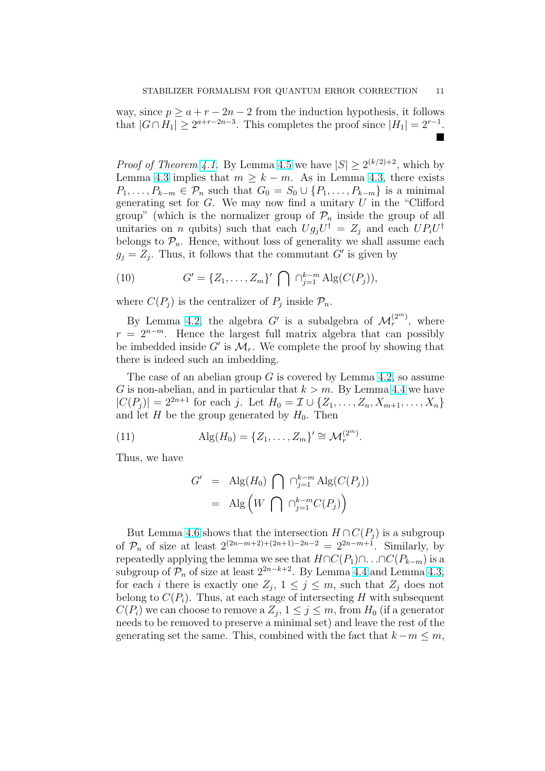way, since  $p \ge a + r - 2n - 2$  from the induction hypothesis, it follows that  $|G \cap H_1| \geq 2^{a+r-2n-3}$ . This completes the proof since  $|H_1| = 2^{r-1}$ . ¥

*Proof of Theorem 4.1.* By Lemma 4.5 we have  $|S| \ge 2^{(k/2)+2}$ , which by Lemma 4.3 implies that  $m \geq k - m$ . As in Lemma 4.3, there exists  $P_1, \ldots, P_{k-m} \in \mathcal{P}_n$  such that  $G_0 = S_0 \cup \{P_1, \ldots, P_{k-m}\}\$ is a minimal generating set for  $G$ . We may now find a unitary  $U$  in the "Clifford" group" (which is [the](#page-7-0) normalizer [grou](#page-8-0)p of  $\mathcal{P}_n$  inside the group of all unitarie[s on](#page-7-0) *n* qubits) such that each  $Ug_jU^{\dagger} = Z_j$  [and](#page-7-0) each  $UP_iU^{\dagger}$ belongs to  $\mathcal{P}_n$ . Hence, without loss of generality we shall assume each  $g_j = Z_j$ . Thus, it follows that the commutant G' is given by

(10) 
$$
G' = \{Z_1, ..., Z_m\}' \bigcap \bigcap_{j=1}^{k-m} \text{Alg}(C(P_j)),
$$

where  $C(P_j)$  is the centralizer of  $P_j$  inside  $\mathcal{P}_n$ .

By Lemma 4.2, the algebra G' is a subalgebra of  $\mathcal{M}_r^{(2^m)}$ , where  $r = 2^{n-m}$ . Hence the largest full matrix algebra that can possibly be imbedded inside  $G'$  is  $\mathcal{M}_r$ . We complete the proof by showing that there is indeed [suc](#page-7-0)h an imbedding.

The case of an abelian group  $G$  is covered by Lemma 4.2, so assume G is non-abelian, and in particular that  $k > m$ . By Lemma 4.4 we have  $|C(P_i)| = 2^{2n+1}$  for each j. Let  $H_0 = \mathcal{I} \cup \{Z_1, \ldots, Z_n, X_{m+1}, \ldots, X_n\}$ and let  $H$  be the group generated by  $H_0$ . Then

(11) 
$$
Alg(H_0) = \{Z_1, ..., Z_m\}' \cong \mathcal{M}_r^{(2^m)}.
$$

Thus, we have

$$
G' = \text{Alg}(H_0) \bigcap \bigcap_{j=1}^{k-m} \text{Alg}(C(P_j))
$$
  
= 
$$
\text{Alg}\left(W \bigcap \bigcap_{j=1}^{k-m} C(P_j)\right)
$$

But Lemma 4.6 shows that the intersection  $H \cap C(P_i)$  is a subgroup of  $\mathcal{P}_n$  of size at least  $2^{(2n-m+2)+(2n+1)-2n-2} = 2^{2n-m+1}$ . Similarly, by repeatedly applying the lemma we see that  $H \cap C(P_1) \cap ... \cap C(P_{k-m})$  is a subgroup of  $\mathcal{P}_n$  of size at least  $2^{2n-k+2}$ . By Lemma 4.4 and Lemma 4.3, for each *i* ther[e is](#page-9-0) exactly one  $Z_j$ ,  $1 \leq j \leq m$ , such that  $Z_j$  does not belong to  $C(P_i)$ . Thus, at each stage of intersecting H with subsequent  $C(P_i)$  we can choose to remove a  $Z_j$ ,  $1 \leq j \leq m$ , from  $H_0$  (if a generator needs to be removed to preserve a minimal set) and [leav](#page-8-0)e the rest of [the](#page-7-0) generating set the same. This, combined with the fact that  $k-m \leq m$ ,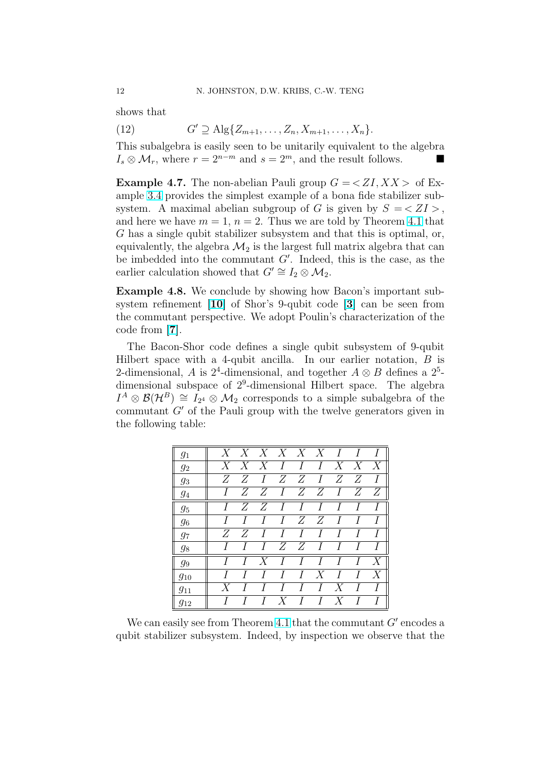shows that

(12) 
$$
G' \supseteq \text{Alg}\{Z_{m+1}, \ldots, Z_n, X_{m+1}, \ldots, X_n\}.
$$

This subalgebra is easily seen to be unitarily equivalent to the algebra  $I_s \otimes \mathcal{M}_r$ , where  $r = 2^{n-m}$  and  $s = 2^m$ , and the result follows.

**Example 4.7.** The non-abelian Pauli group  $G = \langle ZI, XX \rangle$  of Example 3.4 provides the simplest example of a bona fide stabilizer subsystem. A maximal abelian subgroup of G is given by  $S = \langle ZI \rangle$ , and here we have  $m = 1$ ,  $n = 2$ . Thus we are told by Theorem 4.1 that G has a single qubit stabilizer subsystem and that this is optimal, or, equiva[lent](#page-6-0)ly, the algebra  $\mathcal{M}_2$  is the largest full matrix algebra that can be imbedded into the commutant  $G'$ . Indeed, this is the cas[e, as](#page-7-0) the earlier calculation showed that  $G' \cong I_2 \otimes \mathcal{M}_2$ .

Example 4.8. We conclude by showing how Bacon's important subsystem refinement [10] of Shor's 9-qubit code [3] can be seen from the commutant perspective. We adopt Poulin's characterization of the code from [7].

The Bacon-Shor [cod](#page-12-0)e defines a single qubit [su](#page-12-0)bsystem of 9-qubit Hilbert space with a 4-qubit ancilla. In our earlier notation,  $B$  is 2-dimensio[na](#page-12-0)l, A is  $2^4$ -dimensional, and together  $A \otimes B$  defines a  $2^5$ dimensional subspace of  $2^9$ -dimensional Hilbert space. The algebra  $I^A \otimes \mathcal{B}(\mathcal{H}^B) \cong I_{2^4} \otimes \mathcal{M}_2$  corresponds to a simple subalgebra of the commutant  $G'$  of the Pauli group with the twelve generators given in the following table:

| $g_1$    |       | $X \quad X \quad X \quad X \quad X \quad X \quad I$ |                |                |                |                     |                             | $\overline{I}$ | $\top$           |
|----------|-------|-----------------------------------------------------|----------------|----------------|----------------|---------------------|-----------------------------|----------------|------------------|
| $g_2$    |       | $X \quad X \quad X$                                 |                | I              | I              |                     | $I \quad X \quad X \quad X$ |                |                  |
| $g_3$    |       | ZZ                                                  | $\overline{I}$ |                |                |                     | Z Z I Z Z                   |                | $\overline{I}$   |
| 94       | L     |                                                     | $Z \quad Z$    |                |                |                     | $I \quad Z \quad Z \quad I$ |                | $Z \quad Z$      |
| $g_5$    |       | Z                                                   | Z              | I              | $\overline{I}$ | $\overline{I}$      | $\overline{I}$              | $\overline{I}$ | $\boldsymbol{I}$ |
| -96      |       | T                                                   | I              | I              |                | $Z \quad Z$         | $\overline{I}$              | I              | $\boldsymbol{I}$ |
| $g_7$    | $Z^-$ | Z                                                   | I              | I              | $\overline{I}$ | I                   | $\overline{I}$              | I              | $\boldsymbol{I}$ |
| $g_8$    |       | T                                                   | T              |                |                | $Z \quad Z \quad I$ | $\overline{I}$              | I              | $\boldsymbol{I}$ |
| $g_9$    |       | Τ                                                   |                | $X$ I          |                | $I$ $I$             | $\overline{I}$              | T              | X                |
| $g_{10}$ |       |                                                     |                | $\overline{I}$ |                | $I \quad X$         | $\overline{I}$              | T              | X                |
| $g_{11}$ | X     |                                                     |                | $\overline{l}$ | T              | L                   | X                           |                | $\boldsymbol{I}$ |
| 912      |       |                                                     |                | $X$ I          |                |                     | $I \quad X$                 | $\overline{I}$ | $\overline{I}$   |

We can easily see from Theorem 4.1 that the commutant  $G'$  encodes a qubit stabilizer subsystem. Indeed, by inspection we observe that the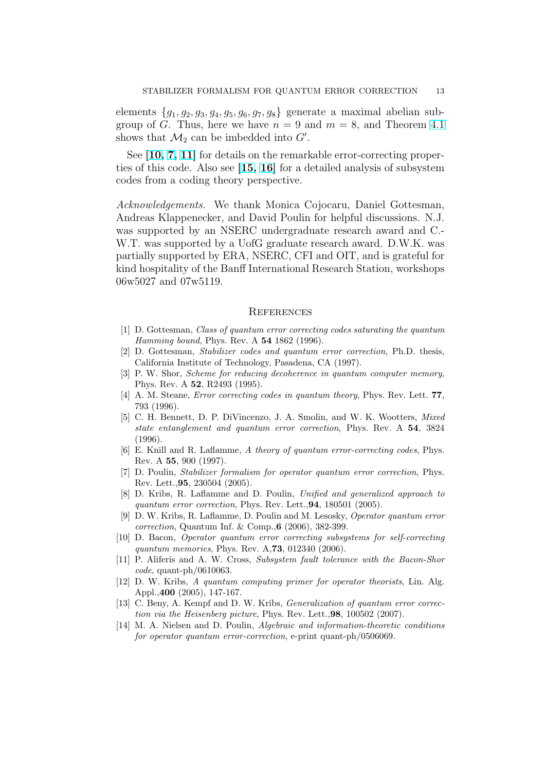<span id="page-12-0"></span>elements  ${g_1, g_2, g_3, g_4, g_5, g_6, g_7, g_8}$  generate a maximal abelian subgroup of G. Thus, here we have  $n = 9$  and  $m = 8$ , and Theorem 4.1 shows that  $\mathcal{M}_2$  can be imbedded into  $G'$ .

See [10, 7, 11] for details on the remarkable error-correcting properties of this code. Also see [15, 16] for a detailed analysis of subsys[tem](#page-7-0) codes from a coding theory perspective.

Acknowledgements. We thank Monica Cojocaru, Daniel Gottesman, Andreas Klappenecker, an[d David](#page-13-0) Poulin for helpful discussions. N.J. was supported by an NSERC undergraduate research award and C.- W.T. was supported by a UofG graduate research award. D.W.K. was partially supported by ERA, NSERC, CFI and OIT, and is grateful for kind hospitality of the Banff International Research Station, workshops 06w5027 and 07w5119.

#### **REFERENCES**

- [1] D. Gottesman, Class of quantum error correcting codes saturating the quantum Hamming bound, Phys. Rev. A 54 1862 (1996).
- [2] D. Gottesman, Stabilizer codes and quantum error correction, Ph.D. thesis, California Institute of Technology, Pasadena, CA (1997).
- [3] P. W. Shor, Scheme for reducing decoherence in quantum computer memory, Phys. Rev. A 52, R2493 (1995).
- [4] A. M. Steane, Error correcting codes in quantum theory, Phys. Rev. Lett. 77, 793 (1996).
- [5] C. H. Bennett, D. P. DiVincenzo, J. A. Smolin, and W. K. Wootters, Mixed state entanglement and quantum error correction, Phys. Rev. A 54, 3824 (1996).
- [6] E. Knill and R. Laflamme, A theory of quantum error-correcting codes, Phys. Rev. A 55, 900 (1997).
- [7] D. Poulin, Stabilizer formalism for operator quantum error correction, Phys. Rev. Lett.,95, 230504 (2005).
- [8] D. Kribs, R. Laflamme and D. Poulin, Unified and generalized approach to quantum error correction, Phys. Rev. Lett.,94, 180501 (2005).
- [9] D. W. Kribs, R. Laflamme, D. Poulin and M. Lesosky, Operator quantum error correction, Quantum Inf. & Comp.,6 (2006), 382-399.
- [10] D. Bacon, Operator quantum error correcting subsystems for self-correcting quantum memories, Phys. Rev. A,73, 012340 (2006).
- [11] P. Aliferis and A. W. Cross, Subsystem fault tolerance with the Bacon-Shor  $code$ , quant-ph/0610063.
- [12] D. W. Kribs, A quantum computing primer for operator theorists, Lin. Alg. Appl.,400 (2005), 147-167.
- [13] C. Beny, A. Kempf and D. W. Kribs, *Generalization of quantum error correc*tion via the Heisenberg picture, Phys. Rev. Lett.,98, 100502 (2007).
- [14] M. A. Nielsen and D. Poulin, Algebraic and information-theoretic conditions for operator quantum error-correction, e-print quant-ph/0506069.